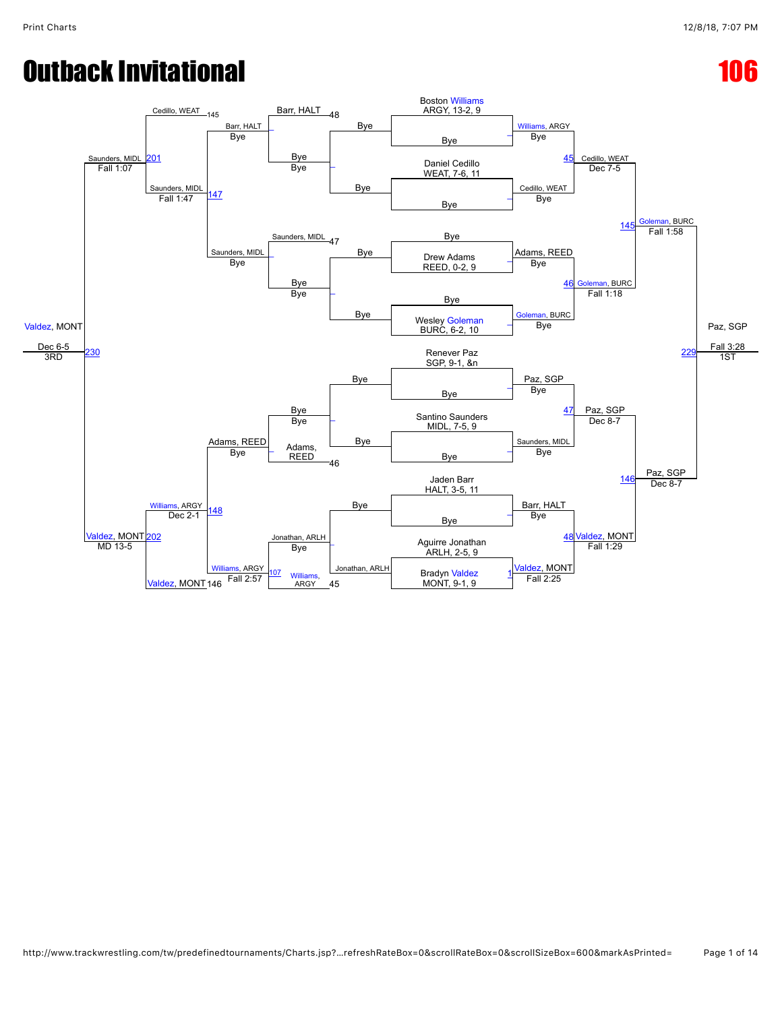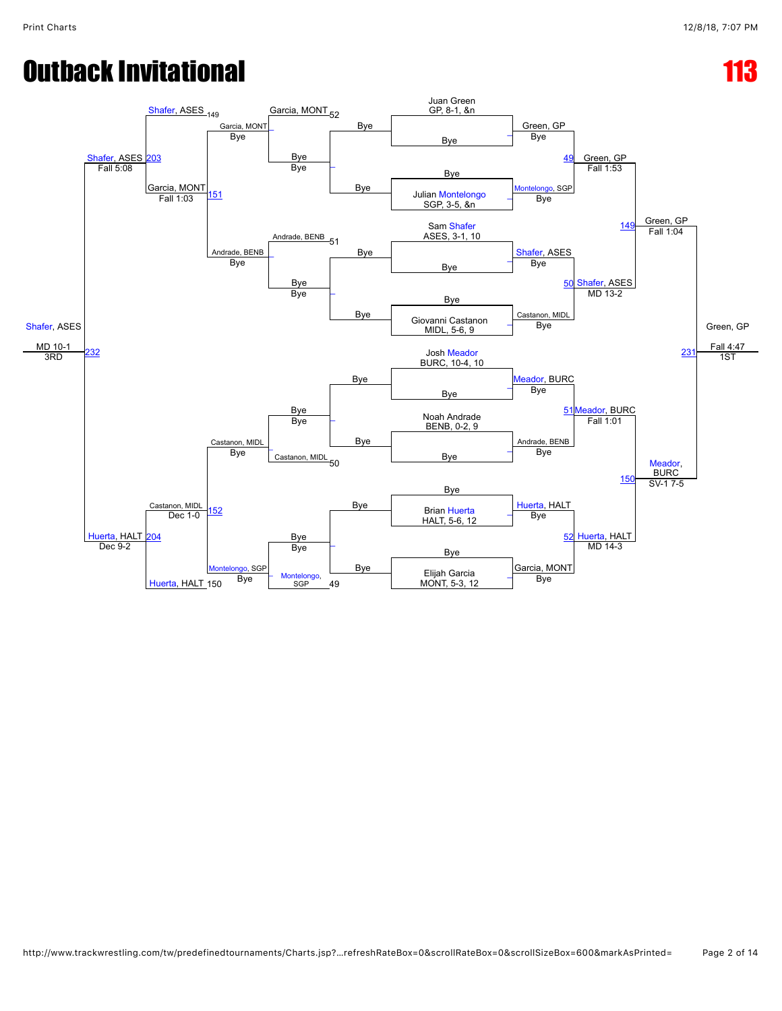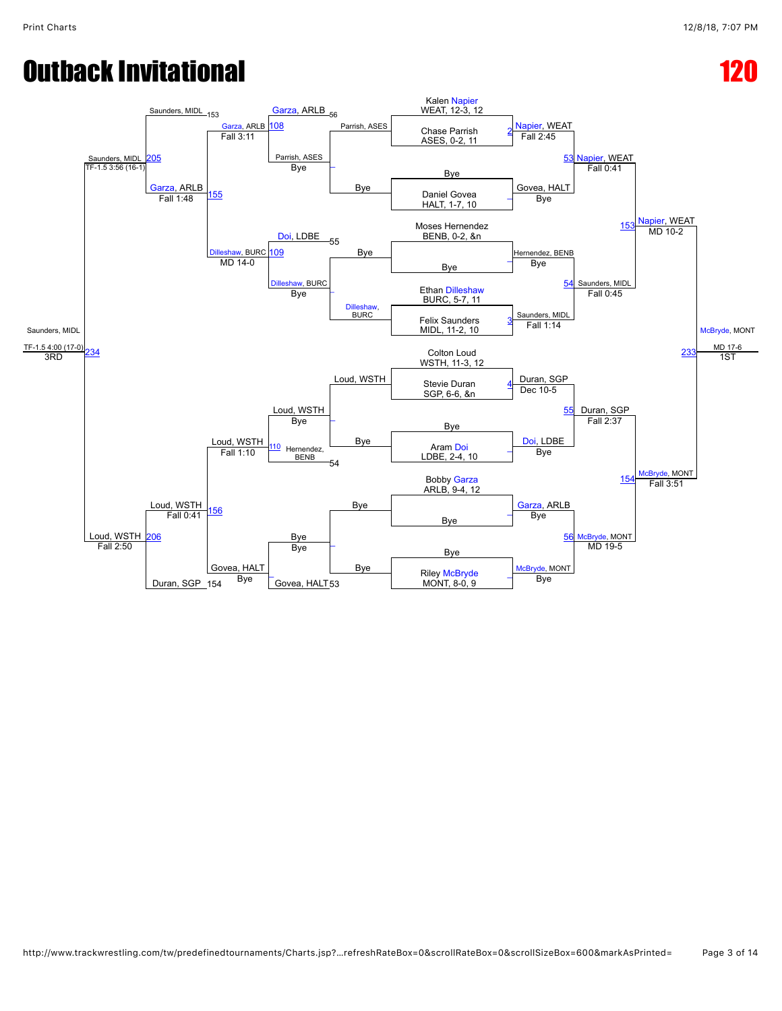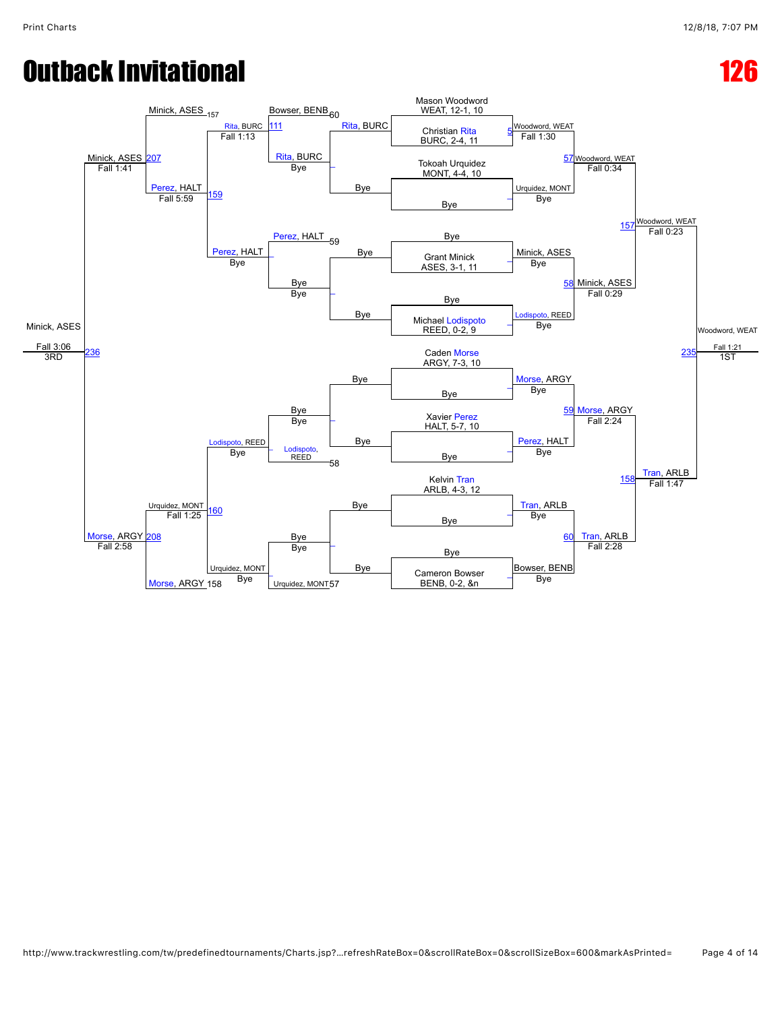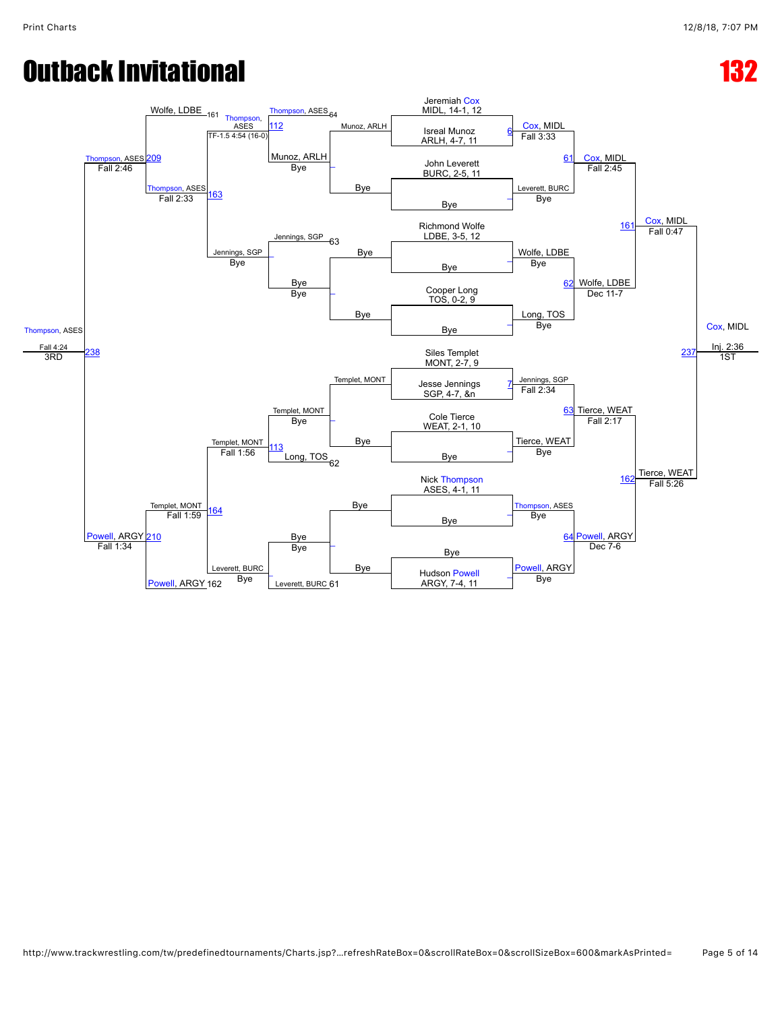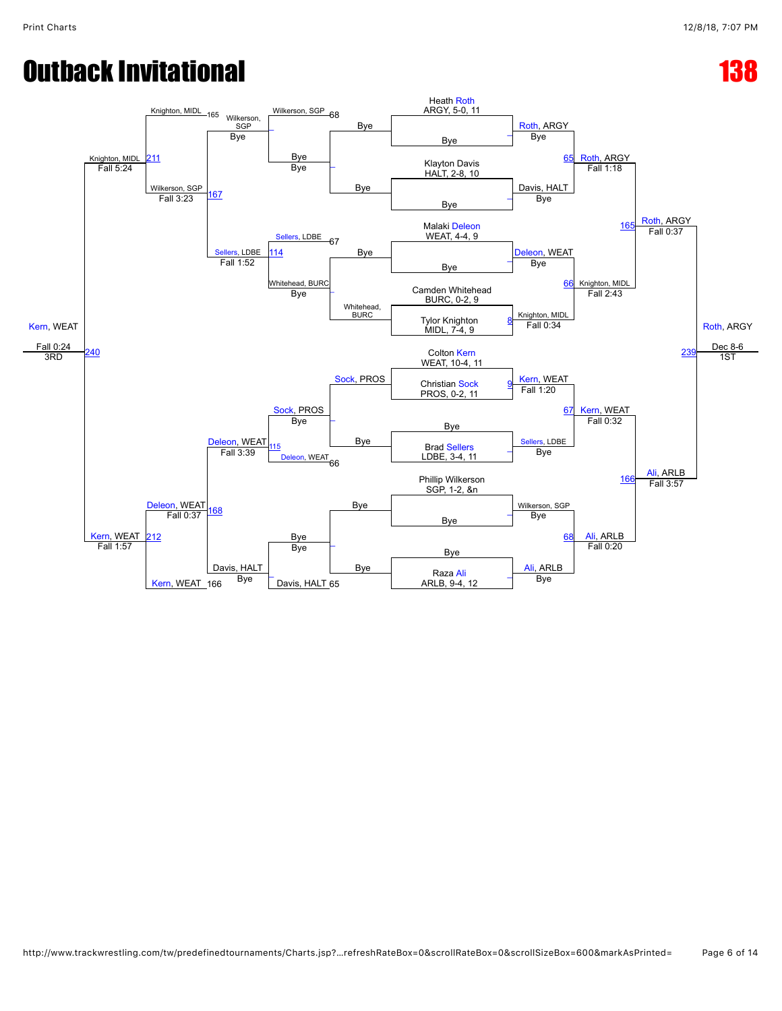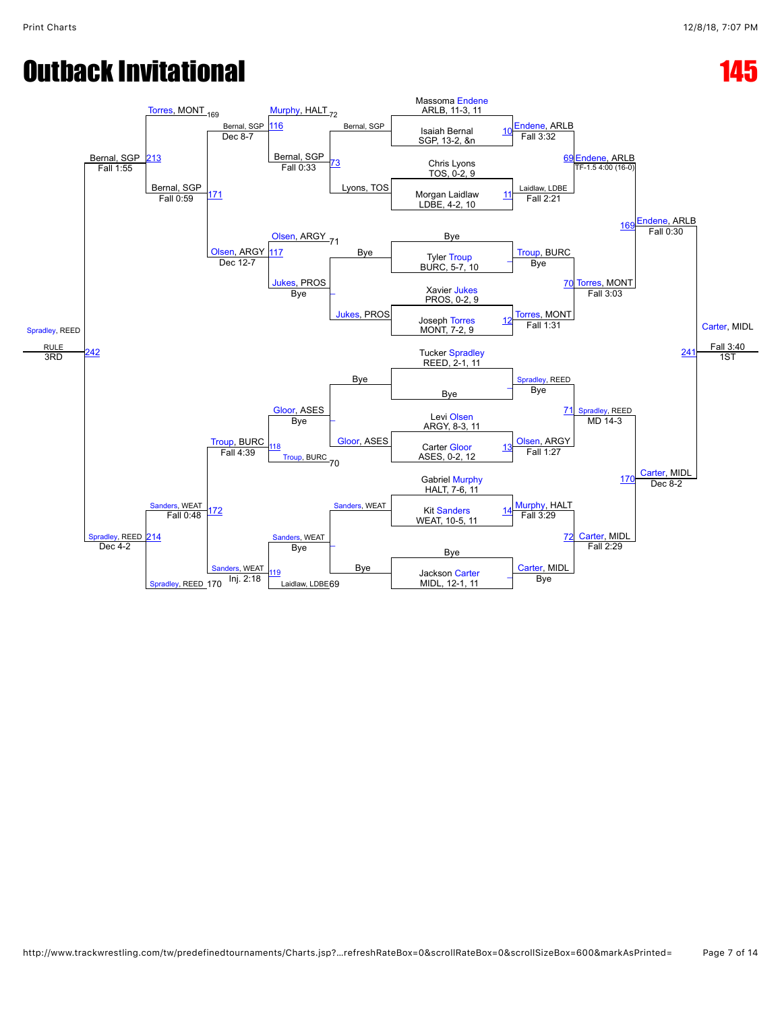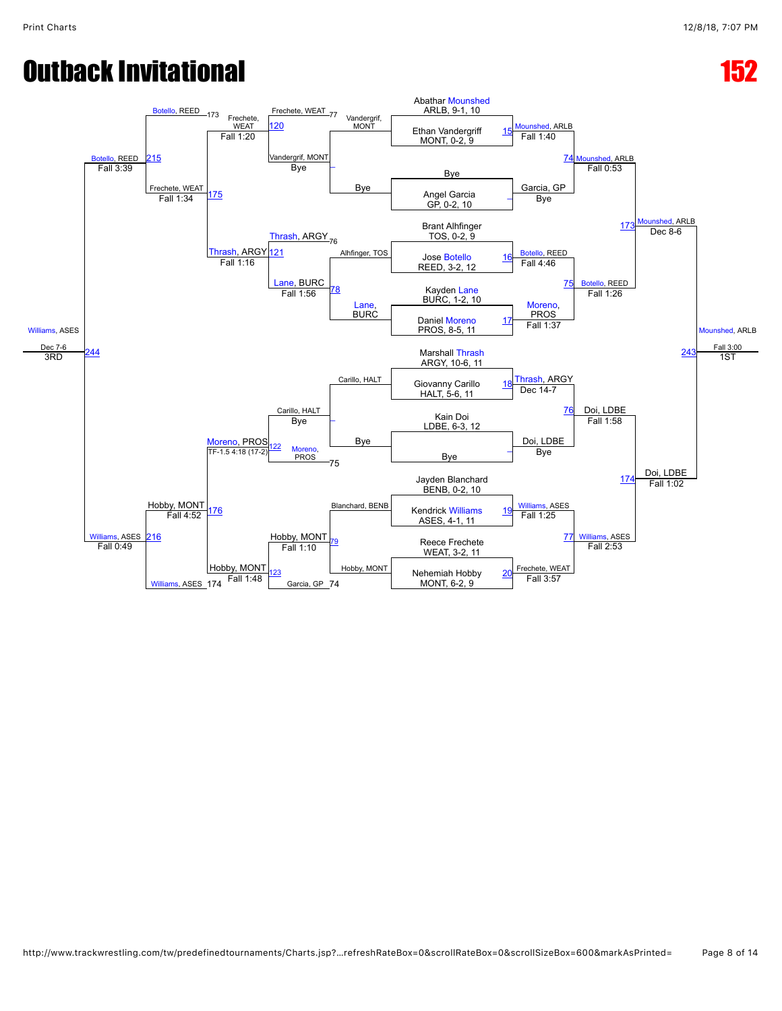# **Outback Invitational 152 and 162 and 162 and 162 and 162 and 162 and 162 and 162 and 162 and 162 and 162 and 162**

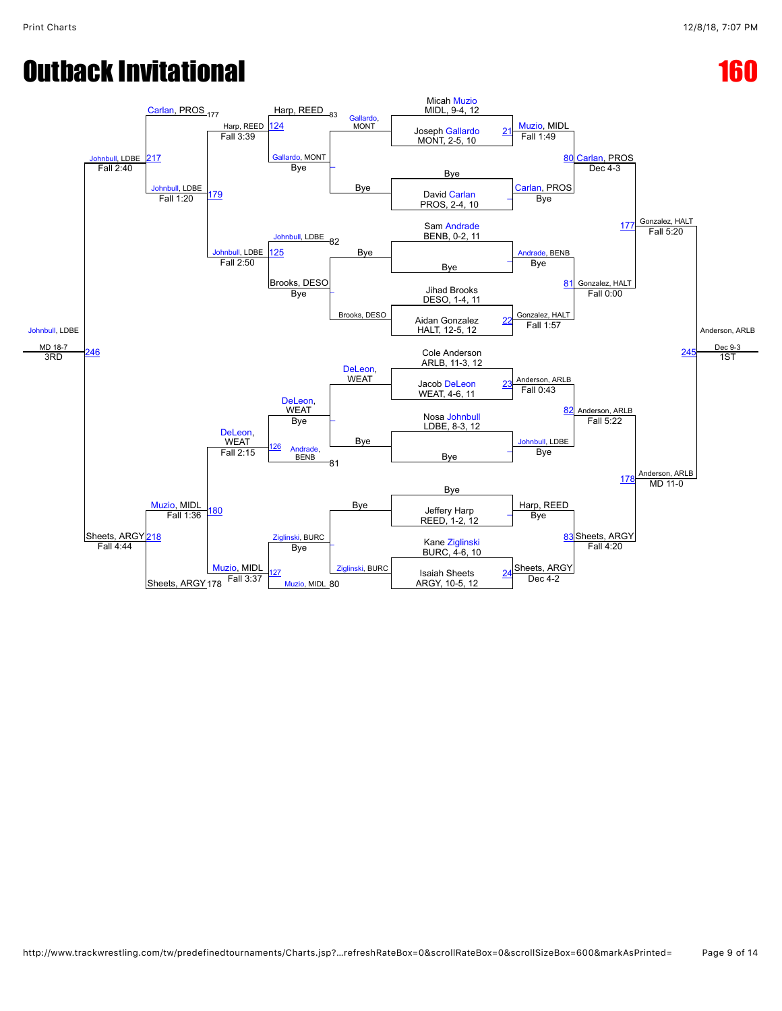## **Outback Invitational 160 and 160 and 160 and 160 and 160 and 160 and 160 and 160 and 160 and 160 and 160 and 160 and 160 and 160 and 160 and 160 and 160 and 160 and 160 and 160 and 160 and 160 and 160 and 160 and 160 and**

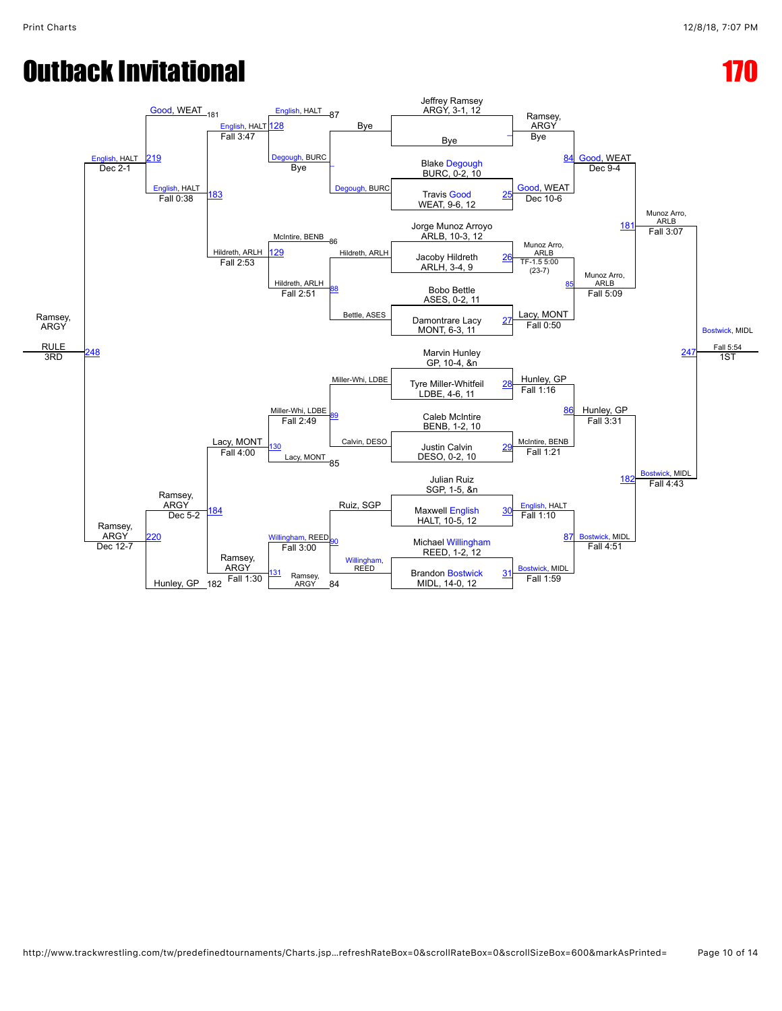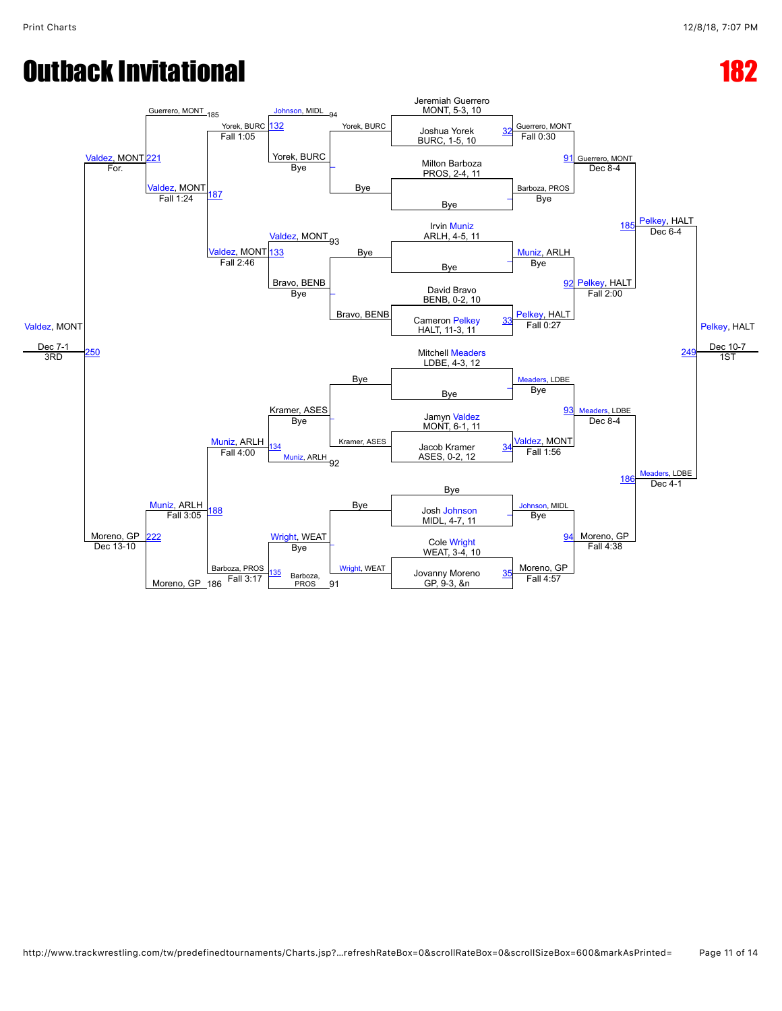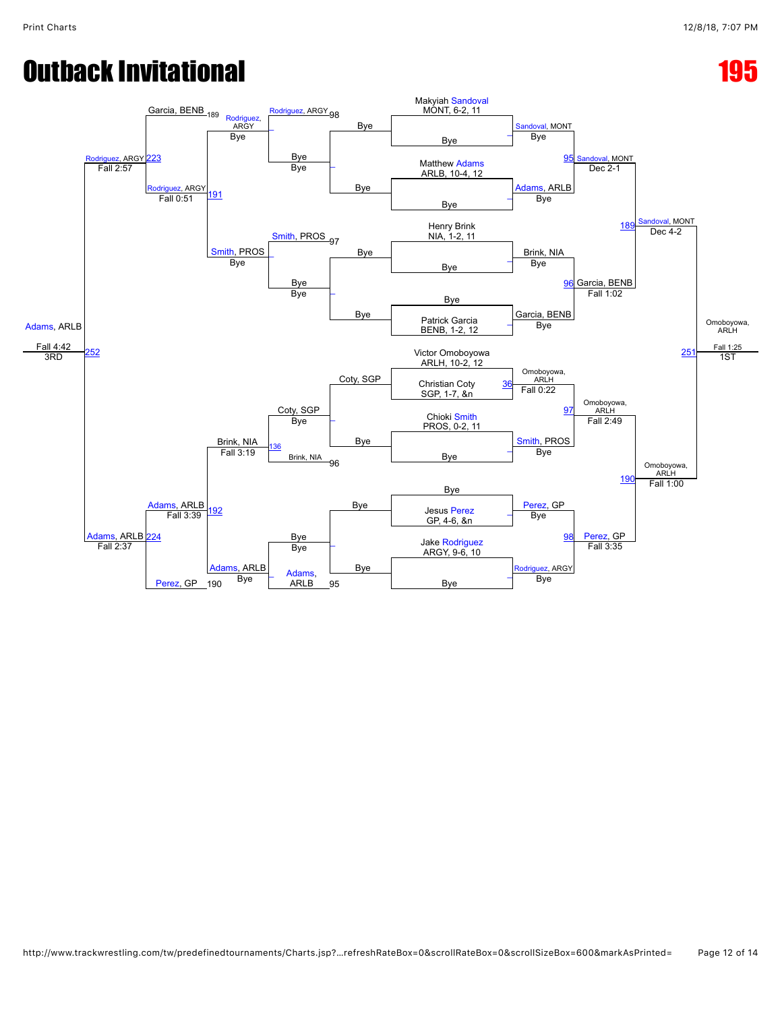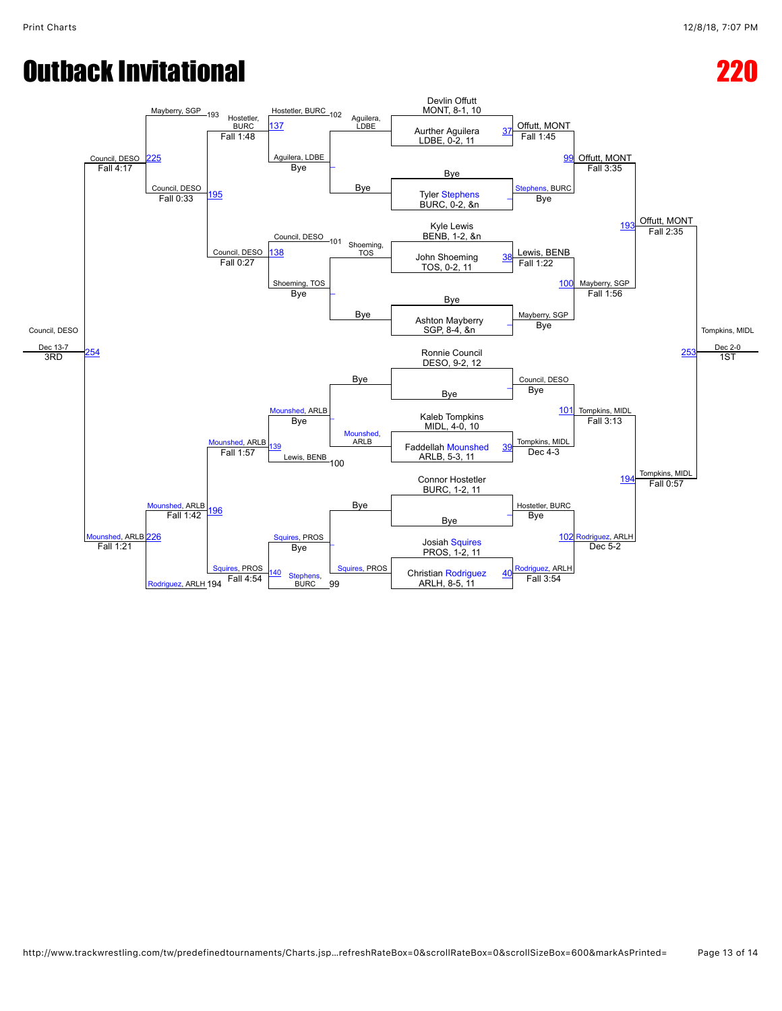